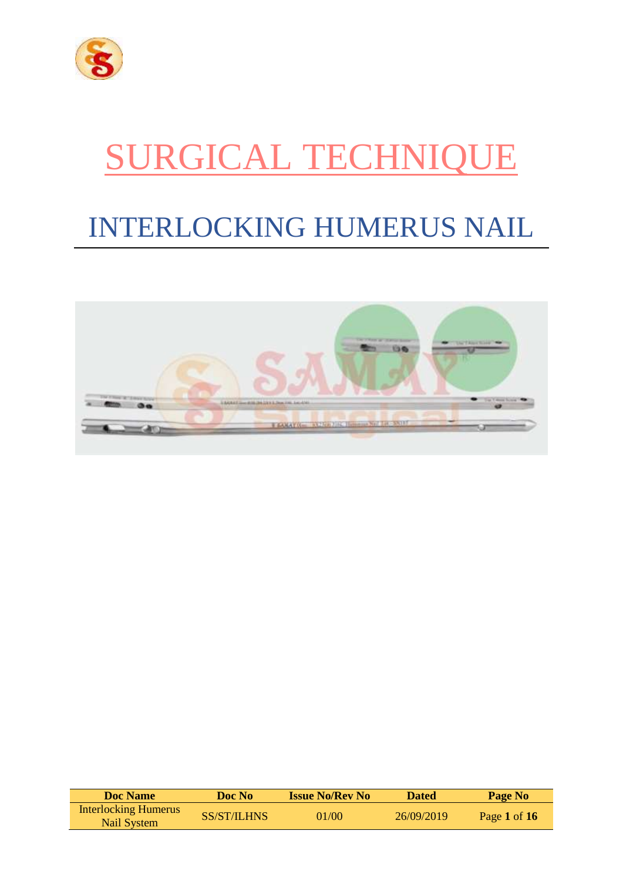

# SURGICAL TECHNIQUE

## INTERLOCKING HUMERUS NAIL



| <b>Doc</b> Name                            | Doc No      | <b>Issue No/Rev No</b> | <b>Dated</b> | Page No        |
|--------------------------------------------|-------------|------------------------|--------------|----------------|
| <b>Interlocking Humerus</b><br>Nail System | SS/ST/ILHNS | 01/00                  | 26/09/2019   | Page 1 of $16$ |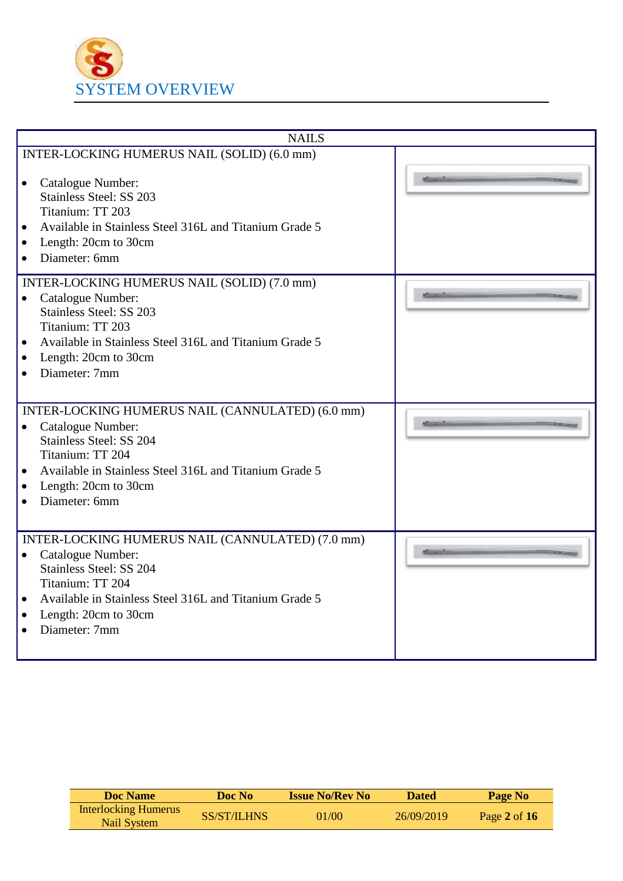

| <b>NAILS</b>                                                                                                                                                                                                                                                                       |  |
|------------------------------------------------------------------------------------------------------------------------------------------------------------------------------------------------------------------------------------------------------------------------------------|--|
| INTER-LOCKING HUMERUS NAIL (SOLID) (6.0 mm)                                                                                                                                                                                                                                        |  |
| Catalogue Number:<br>$\bullet$<br><b>Stainless Steel: SS 203</b><br>Titanium: TT 203                                                                                                                                                                                               |  |
| Available in Stainless Steel 316L and Titanium Grade 5<br>$\bullet$                                                                                                                                                                                                                |  |
| Length: 20cm to 30cm<br>$\bullet$<br>Diameter: 6mm<br>$\bullet$                                                                                                                                                                                                                    |  |
| INTER-LOCKING HUMERUS NAIL (SOLID) (7.0 mm)<br>Catalogue Number:<br>$\bullet$<br><b>Stainless Steel: SS 203</b><br>Titanium: TT 203                                                                                                                                                |  |
| Available in Stainless Steel 316L and Titanium Grade 5<br>$\bullet$<br>Length: 20cm to 30cm<br>$\bullet$<br>Diameter: 7mm<br>$\bullet$                                                                                                                                             |  |
| INTER-LOCKING HUMERUS NAIL (CANNULATED) (6.0 mm)<br>Catalogue Number:<br>$\bullet$<br>Stainless Steel: SS 204<br>Titanium: TT 204                                                                                                                                                  |  |
| Available in Stainless Steel 316L and Titanium Grade 5<br>$\bullet$<br>Length: 20cm to 30cm<br>$\bullet$<br>Diameter: 6mm<br>$\bullet$                                                                                                                                             |  |
| INTER-LOCKING HUMERUS NAIL (CANNULATED) (7.0 mm)<br>Catalogue Number:<br>$\bullet$<br><b>Stainless Steel: SS 204</b><br>Titanium: TT 204<br>Available in Stainless Steel 316L and Titanium Grade 5<br>$\bullet$<br>Length: 20cm to 30cm<br>$\bullet$<br>Diameter: 7mm<br>$\bullet$ |  |
|                                                                                                                                                                                                                                                                                    |  |

| Doc Name                                   | Doc No      | <b>Issue No/Rev No</b> | <b>Dated</b> | Page No        |
|--------------------------------------------|-------------|------------------------|--------------|----------------|
| <b>Interlocking Humerus</b><br>Nail System | SS/ST/ILHNS | 01/00                  | 26/09/2019   | Page 2 of $16$ |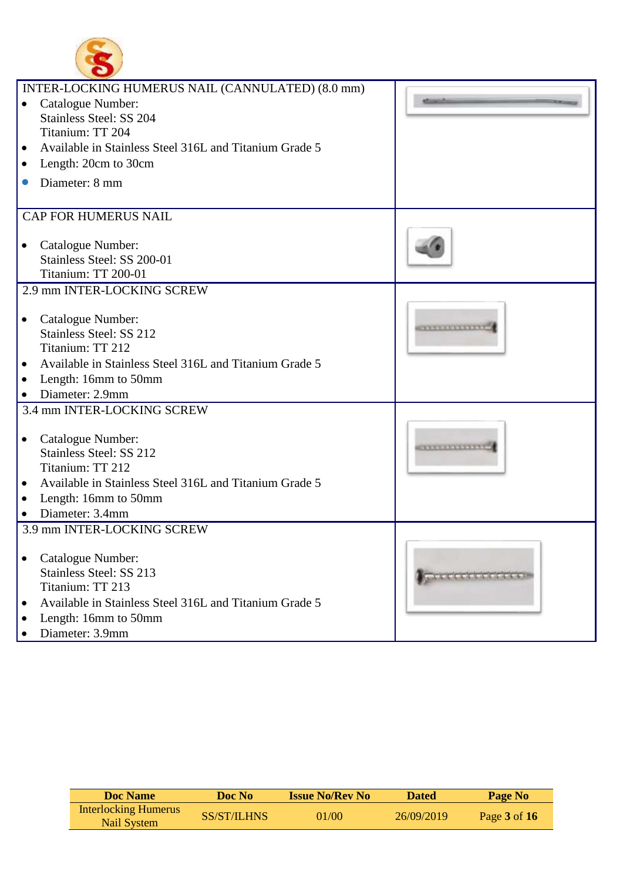

|           | INTER-LOCKING HUMERUS NAIL (CANNULATED) (8.0 mm)       |                                             |
|-----------|--------------------------------------------------------|---------------------------------------------|
|           | Catalogue Number:                                      |                                             |
|           | Stainless Steel: SS 204                                |                                             |
|           | Titanium: TT 204                                       |                                             |
|           |                                                        |                                             |
| $\bullet$ | Available in Stainless Steel 316L and Titanium Grade 5 |                                             |
| $\bullet$ | Length: 20cm to 30cm                                   |                                             |
| $\bullet$ | Diameter: 8 mm                                         |                                             |
|           |                                                        |                                             |
|           | <b>CAP FOR HUMERUS NAIL</b>                            |                                             |
|           |                                                        |                                             |
| $\bullet$ | Catalogue Number:                                      |                                             |
|           | Stainless Steel: SS 200-01                             |                                             |
|           | Titanium: TT 200-01                                    |                                             |
|           | 2.9 mm INTER-LOCKING SCREW                             |                                             |
|           |                                                        |                                             |
| $\bullet$ | Catalogue Number:                                      |                                             |
|           | Stainless Steel: SS 212                                | <b><i><u><b><i>PERSONAL</i></b></u></i></b> |
|           | Titanium: TT 212                                       |                                             |
| $\bullet$ | Available in Stainless Steel 316L and Titanium Grade 5 |                                             |
| $\bullet$ | Length: 16mm to 50mm                                   |                                             |
| $\bullet$ | Diameter: 2.9mm                                        |                                             |
|           | 3.4 mm INTER-LOCKING SCREW                             |                                             |
|           |                                                        |                                             |
| $\bullet$ | Catalogue Number:                                      |                                             |
|           | Stainless Steel: SS 212                                |                                             |
|           | Titanium: TT 212                                       |                                             |
| $\bullet$ | Available in Stainless Steel 316L and Titanium Grade 5 |                                             |
| $\bullet$ | Length: 16mm to 50mm                                   |                                             |
| $\bullet$ | Diameter: 3.4mm                                        |                                             |
|           | 3.9 mm INTER-LOCKING SCREW                             |                                             |
|           |                                                        |                                             |
| ٠         | Catalogue Number:                                      |                                             |
|           | Stainless Steel: SS 213                                |                                             |
|           | Titanium: TT 213                                       | and it is a dealer to the third of          |
|           |                                                        |                                             |
| $\bullet$ | Available in Stainless Steel 316L and Titanium Grade 5 |                                             |
| $\bullet$ | Length: 16mm to 50mm                                   |                                             |
|           | Diameter: 3.9mm                                        |                                             |

| Doc Name                                   | Doc No             | <b>Issue No/Rev No</b> | <b>Dated</b> | Page No          |
|--------------------------------------------|--------------------|------------------------|--------------|------------------|
| <b>Interlocking Humerus</b><br>Nail System | <b>SS/ST/ILHNS</b> | 01/00                  | 26/09/2019   | Page $3$ of $16$ |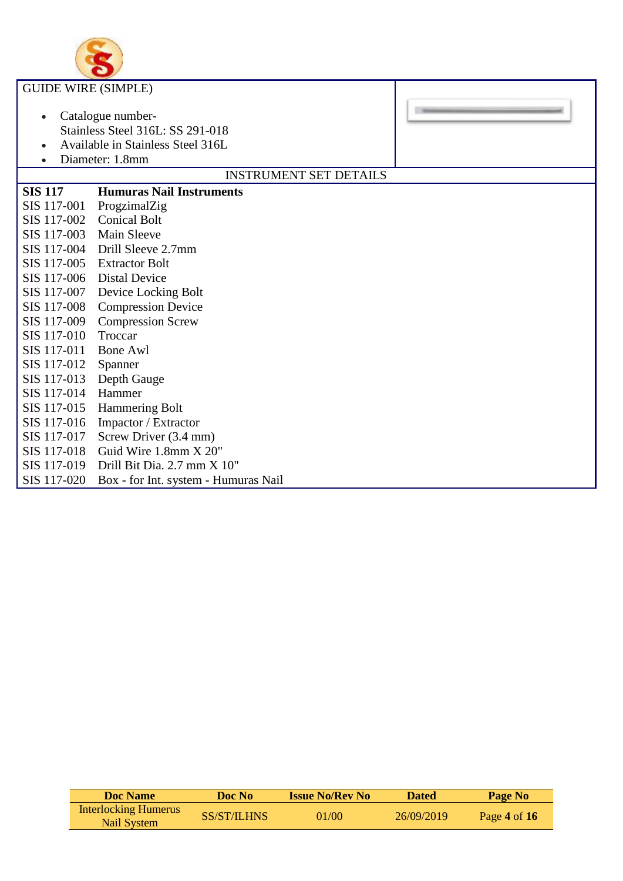

| <b>GUIDE WIRE (SIMPLE)</b> |                                                                                                               |  |
|----------------------------|---------------------------------------------------------------------------------------------------------------|--|
| $\bullet$<br>$\bullet$     | Catalogue number-<br>Stainless Steel 316L: SS 291-018<br>Available in Stainless Steel 316L<br>Diameter: 1.8mm |  |
|                            | <b>INSTRUMENT SET DETAILS</b>                                                                                 |  |
| <b>SIS 117</b>             | <b>Humuras Nail Instruments</b>                                                                               |  |
| SIS 117-001                | ProgzimalZig                                                                                                  |  |
| SIS 117-002                | <b>Conical Bolt</b>                                                                                           |  |
| SIS 117-003                | <b>Main Sleeve</b>                                                                                            |  |
| SIS 117-004                | Drill Sleeve 2.7mm                                                                                            |  |
| SIS 117-005                | <b>Extractor Bolt</b>                                                                                         |  |
| SIS 117-006                | <b>Distal Device</b>                                                                                          |  |
| SIS 117-007                | Device Locking Bolt                                                                                           |  |
| SIS 117-008                | <b>Compression Device</b>                                                                                     |  |
| SIS 117-009                | <b>Compression Screw</b>                                                                                      |  |
| SIS 117-010                | Troccar                                                                                                       |  |
| SIS 117-011                | <b>Bone Awl</b>                                                                                               |  |
| SIS 117-012                | Spanner                                                                                                       |  |
| SIS 117-013                | Depth Gauge                                                                                                   |  |
| SIS 117-014                | Hammer                                                                                                        |  |
| SIS 117-015                | <b>Hammering Bolt</b>                                                                                         |  |
| SIS 117-016                | Impactor / Extractor                                                                                          |  |
| SIS 117-017                | Screw Driver (3.4 mm)                                                                                         |  |
| SIS 117-018                | Guid Wire 1.8mm X 20"                                                                                         |  |
| SIS 117-019                | Drill Bit Dia. 2.7 mm X 10"                                                                                   |  |
| SIS 117-020                | Box - for Int. system - Humuras Nail                                                                          |  |

| Doc Name                                   | Doc No             | <b>Issue No/Rev No</b> | <b>Dated</b> | Page No        |
|--------------------------------------------|--------------------|------------------------|--------------|----------------|
| <b>Interlocking Humerus</b><br>Nail System | <b>SS/ST/ILHNS</b> | 01/00                  | 26/09/2019   | Page 4 of $16$ |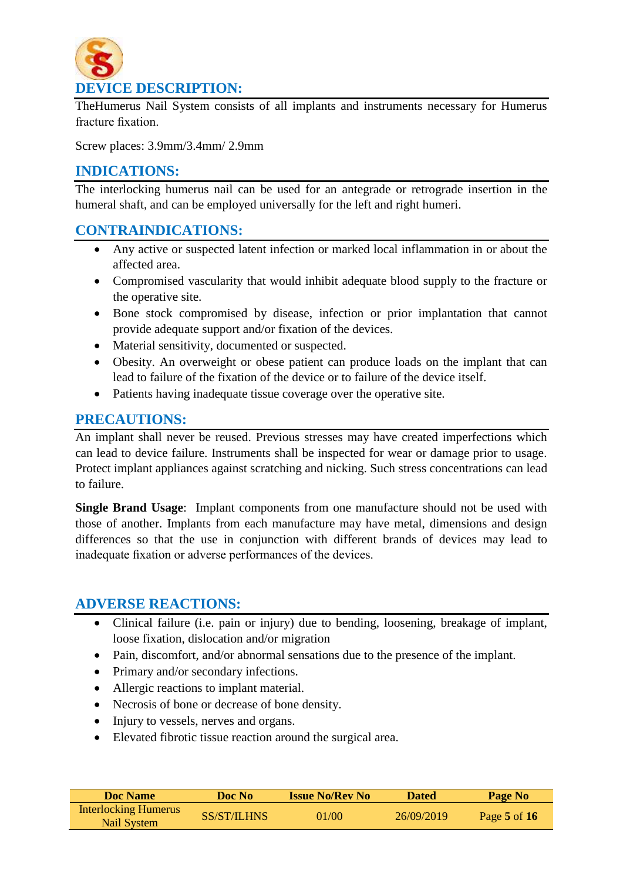

TheHumerus Nail System consists of all implants and instruments necessary for Humerus fracture fixation.

Screw places: 3.9mm/3.4mm/ 2.9mm

## **INDICATIONS:**

The interlocking humerus nail can be used for an antegrade or retrograde insertion in the humeral shaft, and can be employed universally for the left and right humeri.

## **CONTRAINDICATIONS:**

- Any active or suspected latent infection or marked local inflammation in or about the affected area.
- Compromised vascularity that would inhibit adequate blood supply to the fracture or the operative site.
- Bone stock compromised by disease, infection or prior implantation that cannot provide adequate support and/or fixation of the devices.
- Material sensitivity, documented or suspected.
- Obesity. An overweight or obese patient can produce loads on the implant that can lead to failure of the fixation of the device or to failure of the device itself.
- Patients having inadequate tissue coverage over the operative site.

#### **PRECAUTIONS:**

An implant shall never be reused. Previous stresses may have created imperfections which can lead to device failure. Instruments shall be inspected for wear or damage prior to usage. Protect implant appliances against scratching and nicking. Such stress concentrations can lead to failure.

**Single Brand Usage**: Implant components from one manufacture should not be used with those of another. Implants from each manufacture may have metal, dimensions and design differences so that the use in conjunction with different brands of devices may lead to inadequate fixation or adverse performances of the devices.

#### **ADVERSE REACTIONS:**

- Clinical failure (i.e. pain or injury) due to bending, loosening, breakage of implant, loose fixation, dislocation and/or migration
- Pain, discomfort, and/or abnormal sensations due to the presence of the implant.
- Primary and/or secondary infections.
- Allergic reactions to implant material.
- Necrosis of bone or decrease of bone density.
- Injury to vessels, nerves and organs.
- Elevated fibrotic tissue reaction around the surgical area.

| Doc Name                                   | Doc No      | <b>Issue No/Rev No</b> | <b>Dated</b> | Page No          |
|--------------------------------------------|-------------|------------------------|--------------|------------------|
| <b>Interlocking Humerus</b><br>Nail System | SS/ST/ILHNS | 01/00                  | 26/09/2019   | Page $5$ of $16$ |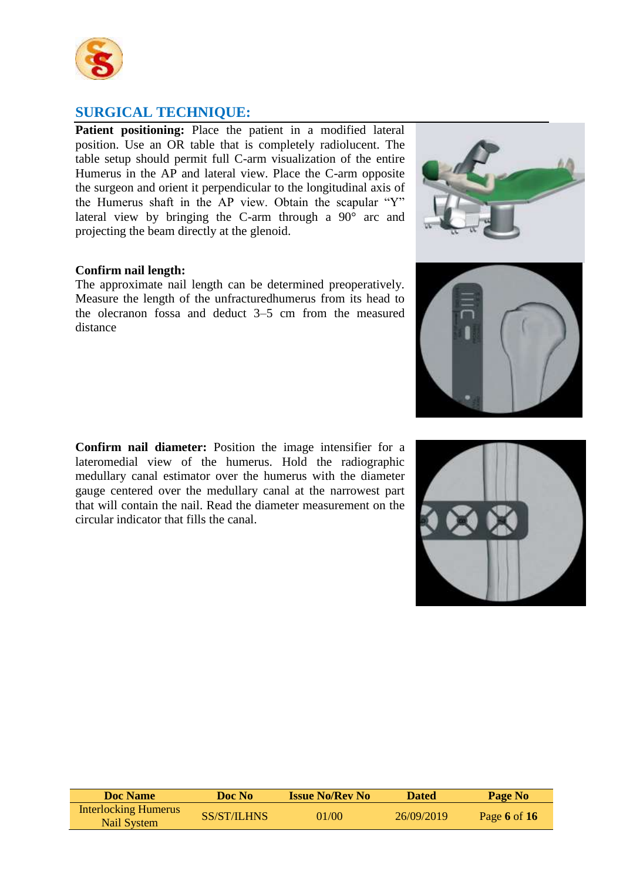

## **SURGICAL TECHNIQUE:**

**Patient positioning:** Place the patient in a modified lateral position. Use an OR table that is completely radiolucent. The table setup should permit full C-arm visualization of the entire Humerus in the AP and lateral view. Place the C-arm opposite the surgeon and orient it perpendicular to the longitudinal axis of the Humerus shaft in the AP view. Obtain the scapular "Y" lateral view by bringing the C-arm through a 90° arc and projecting the beam directly at the glenoid.

#### **Confirm nail length:**

The approximate nail length can be determined preoperatively. Measure the length of the unfracturedhumerus from its head to the olecranon fossa and deduct 3–5 cm from the measured distance

**Confirm nail diameter:** Position the image intensifier for a lateromedial view of the humerus. Hold the radiographic medullary canal estimator over the humerus with the diameter gauge centered over the medullary canal at the narrowest part that will contain the nail. Read the diameter measurement on the circular indicator that fills the canal.

**Doc Name Doc No Issue No/Rev No Dated Page No** Interlocking Humerus Nail System SS/ST/ILHNS 01/00 26/09/2019 Page **<sup>6</sup>** of **<sup>16</sup>**





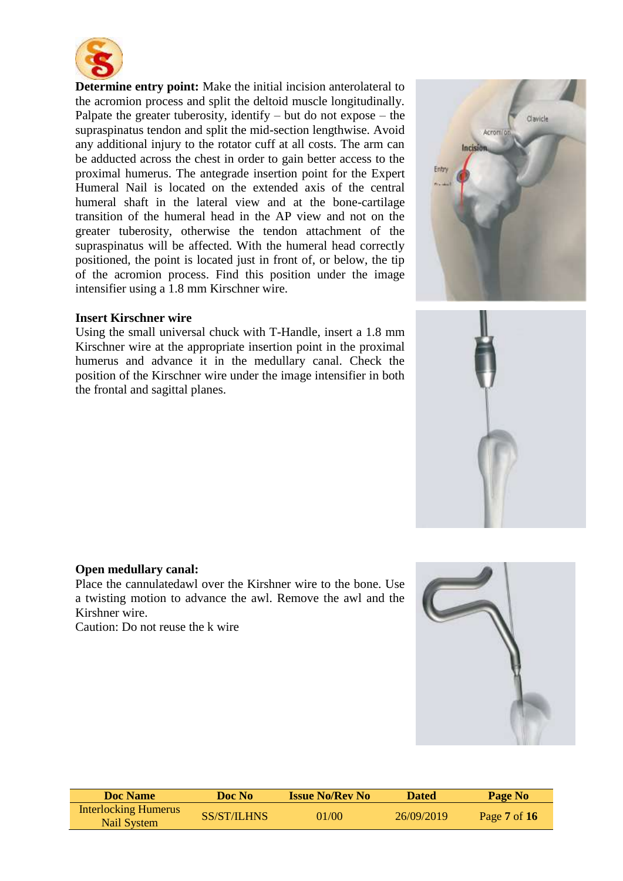

**Determine entry point:** Make the initial incision anterolateral to the acromion process and split the deltoid muscle longitudinally. Palpate the greater tuberosity, identify – but do not expose – the supraspinatus tendon and split the mid-section lengthwise. Avoid any additional injury to the rotator cuff at all costs. The arm can be adducted across the chest in order to gain better access to the proximal humerus. The antegrade insertion point for the Expert Humeral Nail is located on the extended axis of the central humeral shaft in the lateral view and at the bone-cartilage transition of the humeral head in the AP view and not on the greater tuberosity, otherwise the tendon attachment of the supraspinatus will be affected. With the humeral head correctly positioned, the point is located just in front of, or below, the tip of the acromion process. Find this position under the image intensifier using a 1.8 mm Kirschner wire.

#### **Insert Kirschner wire**

Using the small universal chuck with T-Handle, insert a 1.8 mm Kirschner wire at the appropriate insertion point in the proximal humerus and advance it in the medullary canal. Check the position of the Kirschner wire under the image intensifier in both the frontal and sagittal planes.



Place the cannulatedawl over the Kirshner wire to the bone. Use a twisting motion to advance the awl. Remove the awl and the Kirshner wire.

Caution: Do not reuse the k wire



| <b>Doc</b> Name                            | Doc No      | <b>Issue No/Rev No</b> | <b>Dated</b> | Page No          |
|--------------------------------------------|-------------|------------------------|--------------|------------------|
| <b>Interlocking Humerus</b><br>Nail System | SS/ST/ILHNS | 01/00                  | 26/09/2019   | Page $7$ of $16$ |



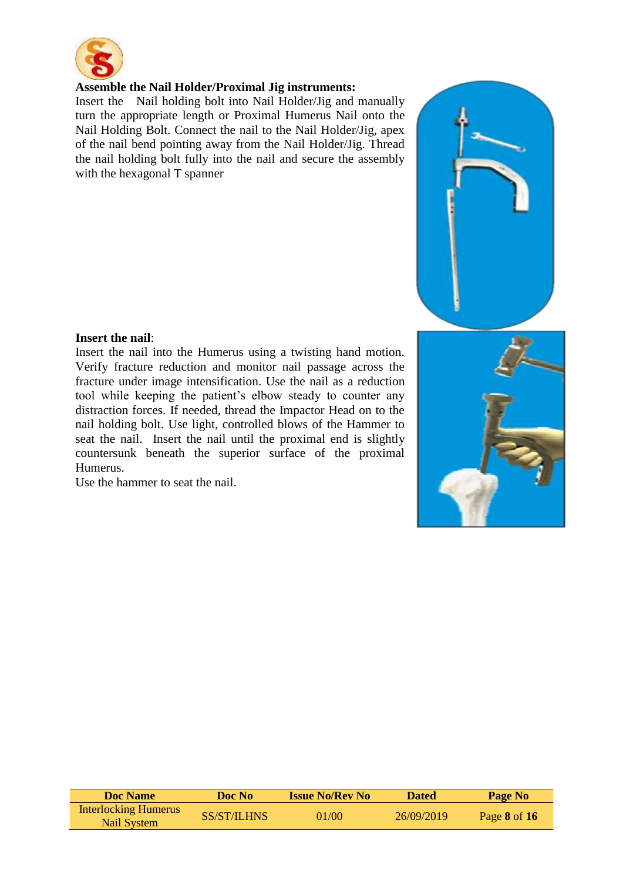

#### **Assemble the Nail Holder/Proximal Jig instruments:**

Insert the Nail holding bolt into Nail Holder/Jig and manually turn the appropriate length or Proximal Humerus Nail onto the Nail Holding Bolt. Connect the nail to the Nail Holder/Jig, apex of the nail bend pointing away from the Nail Holder/Jig. Thread the nail holding bolt fully into the nail and secure the assembly with the hexagonal T spanner



#### **Insert the nail**:

Insert the nail into the Humerus using a twisting hand motion. Verify fracture reduction and monitor nail passage across the fracture under image intensification. Use the nail as a reduction tool while keeping the patient's elbow steady to counter any distraction forces. If needed, thread the Impactor Head on to the nail holding bolt. Use light, controlled blows of the Hammer to seat the nail. Insert the nail until the proximal end is slightly countersunk beneath the superior surface of the proximal Humerus.

Use the hammer to seat the nail.



| Doc Name                                   | Doc No      | <b>Issue No/Rev No</b> | <b>Dated</b> | Page No      |
|--------------------------------------------|-------------|------------------------|--------------|--------------|
| <b>Interlocking Humerus</b><br>Nail System | SS/ST/ILHNS | 01/00                  | 26/09/2019   | Page 8 of 16 |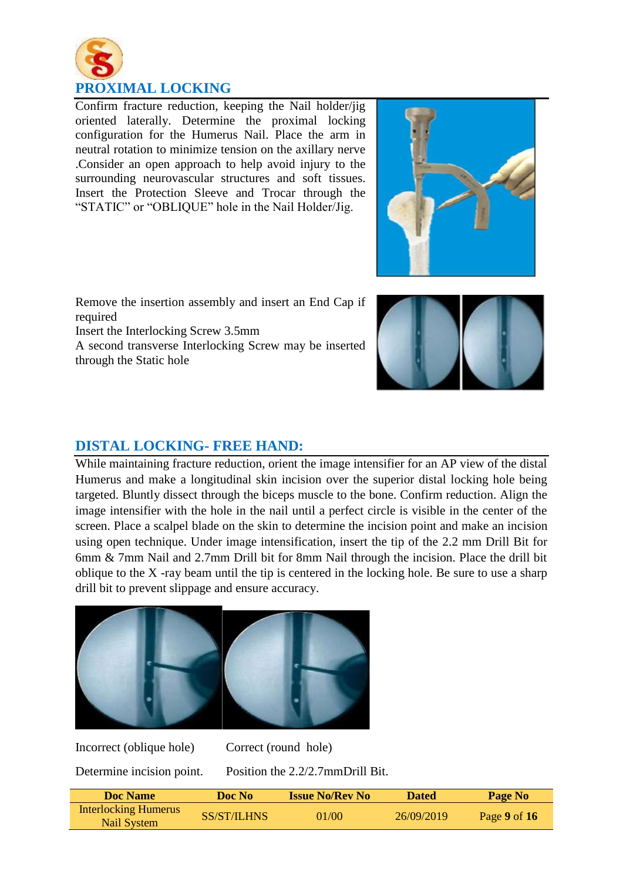

Confirm fracture reduction, keeping the Nail holder/jig oriented laterally. Determine the proximal locking configuration for the Humerus Nail. Place the arm in neutral rotation to minimize tension on the axillary nerve .Consider an open approach to help avoid injury to the surrounding neurovascular structures and soft tissues. Insert the Protection Sleeve and Trocar through the "STATIC" or "OBLIQUE" hole in the Nail Holder/Jig.



Remove the insertion assembly and insert an End Cap if required

Insert the Interlocking Screw 3.5mm

A second transverse Interlocking Screw may be inserted through the Static hole



## **DISTAL LOCKING- FREE HAND:**

While maintaining fracture reduction, orient the image intensifier for an AP view of the distal Humerus and make a longitudinal skin incision over the superior distal locking hole being targeted. Bluntly dissect through the biceps muscle to the bone. Confirm reduction. Align the image intensifier with the hole in the nail until a perfect circle is visible in the center of the screen. Place a scalpel blade on the skin to determine the incision point and make an incision using open technique. Under image intensification, insert the tip of the 2.2 mm Drill Bit for 6mm & 7mm Nail and 2.7mm Drill bit for 8mm Nail through the incision. Place the drill bit oblique to the X -ray beam until the tip is centered in the locking hole. Be sure to use a sharp drill bit to prevent slippage and ensure accuracy.



Incorrect (oblique hole) Correct (round hole)

Determine incision point. Position the 2.2/2.7mmDrill Bit.

| Doc Name                                   | Doc No-            | <b>Issue No/Rev No</b> | <b>Dated</b> | Page No          |
|--------------------------------------------|--------------------|------------------------|--------------|------------------|
| <b>Interlocking Humerus</b><br>Nail System | <b>SS/ST/ILHNS</b> | 01/00                  | 26/09/2019   | Page $9$ of $16$ |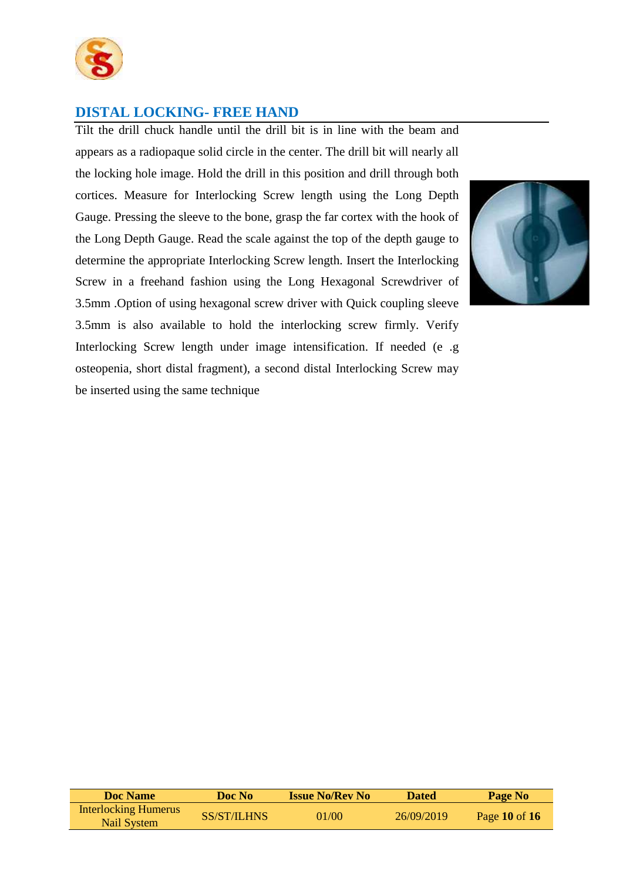

## **DISTAL LOCKING- FREE HAND**

Tilt the drill chuck handle until the drill bit is in line with the beam and appears as a radiopaque solid circle in the center. The drill bit will nearly all the locking hole image. Hold the drill in this position and drill through both cortices. Measure for Interlocking Screw length using the Long Depth Gauge. Pressing the sleeve to the bone, grasp the far cortex with the hook of the Long Depth Gauge. Read the scale against the top of the depth gauge to determine the appropriate Interlocking Screw length. Insert the Interlocking Screw in a freehand fashion using the Long Hexagonal Screwdriver of 3.5mm .Option of using hexagonal screw driver with Quick coupling sleeve 3.5mm is also available to hold the interlocking screw firmly. Verify Interlocking Screw length under image intensification. If needed (e .g osteopenia, short distal fragment), a second distal Interlocking Screw may be inserted using the same technique



| Doc Name                                   | Doc No      | <b>Issue No/Rev No</b> | <b>Dated</b> | Page No           |
|--------------------------------------------|-------------|------------------------|--------------|-------------------|
| <b>Interlocking Humerus</b><br>Nail System | SS/ST/ILHNS | 01/00                  | 26/09/2019   | Page $10$ of $16$ |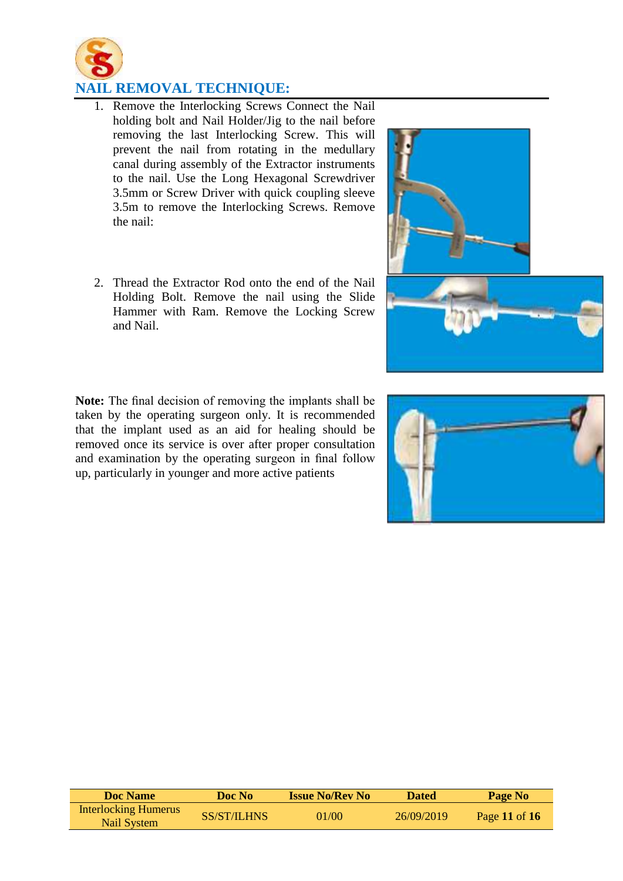

## **NAIL REMOVAL TECHNIQUE:**

- 1. Remove the Interlocking Screws Connect the Nail holding bolt and Nail Holder/Jig to the nail before removing the last Interlocking Screw. This will prevent the nail from rotating in the medullary canal during assembly of the Extractor instruments to the nail. Use the Long Hexagonal Screwdriver 3.5mm or Screw Driver with quick coupling sleeve 3.5m to remove the Interlocking Screws. Remove the nail:
- 2. Thread the Extractor Rod onto the end of the Nail Holding Bolt. Remove the nail using the Slide Hammer with Ram. Remove the Locking Screw and Nail.

**Note:** The final decision of removing the implants shall be taken by the operating surgeon only. It is recommended that the implant used as an aid for healing should be removed once its service is over after proper consultation and examination by the operating surgeon in final follow up, particularly in younger and more active patients







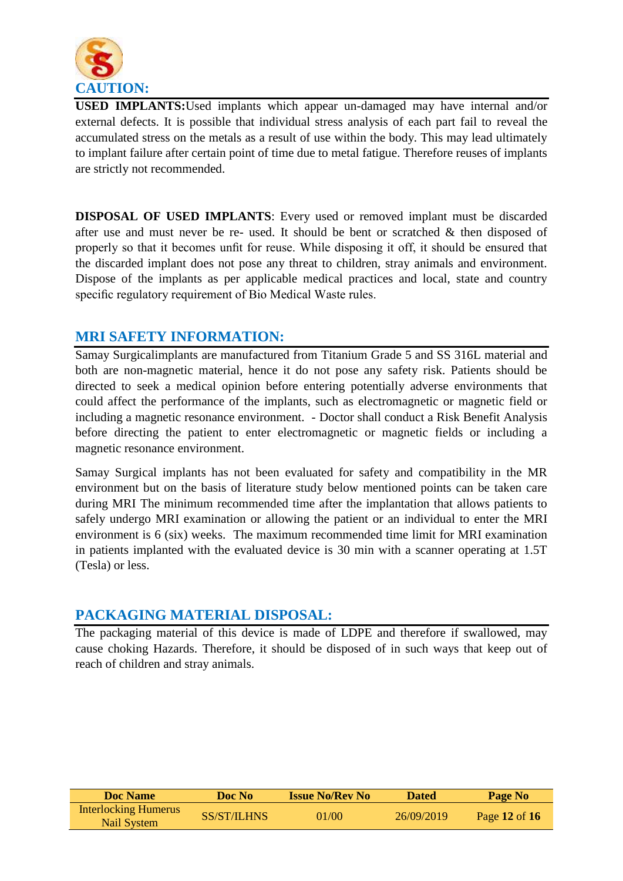

**USED IMPLANTS:**Used implants which appear un-damaged may have internal and/or external defects. It is possible that individual stress analysis of each part fail to reveal the accumulated stress on the metals as a result of use within the body. This may lead ultimately to implant failure after certain point of time due to metal fatigue. Therefore reuses of implants are strictly not recommended.

**DISPOSAL OF USED IMPLANTS**: Every used or removed implant must be discarded after use and must never be re- used. It should be bent or scratched & then disposed of properly so that it becomes unfit for reuse. While disposing it off, it should be ensured that the discarded implant does not pose any threat to children, stray animals and environment. Dispose of the implants as per applicable medical practices and local, state and country specific regulatory requirement of Bio Medical Waste rules.

#### **MRI SAFETY INFORMATION:**

Samay Surgicalimplants are manufactured from Titanium Grade 5 and SS 316L material and both are non-magnetic material, hence it do not pose any safety risk. Patients should be directed to seek a medical opinion before entering potentially adverse environments that could affect the performance of the implants, such as electromagnetic or magnetic field or including a magnetic resonance environment. - Doctor shall conduct a Risk Benefit Analysis before directing the patient to enter electromagnetic or magnetic fields or including a magnetic resonance environment.

Samay Surgical implants has not been evaluated for safety and compatibility in the MR environment but on the basis of literature study below mentioned points can be taken care during MRI The minimum recommended time after the implantation that allows patients to safely undergo MRI examination or allowing the patient or an individual to enter the MRI environment is 6 (six) weeks. The maximum recommended time limit for MRI examination in patients implanted with the evaluated device is 30 min with a scanner operating at 1.5T (Tesla) or less.

## **PACKAGING MATERIAL DISPOSAL:**

The packaging material of this device is made of LDPE and therefore if swallowed, may cause choking Hazards. Therefore, it should be disposed of in such ways that keep out of reach of children and stray animals.

| Doc Name                                   | Doc No      | <b>Issue No/Rev No</b> | <b>Dated</b> | Page No       |
|--------------------------------------------|-------------|------------------------|--------------|---------------|
| <b>Interlocking Humerus</b><br>Nail System | SS/ST/ILHNS | 01/00                  | 26/09/2019   | Page 12 of 16 |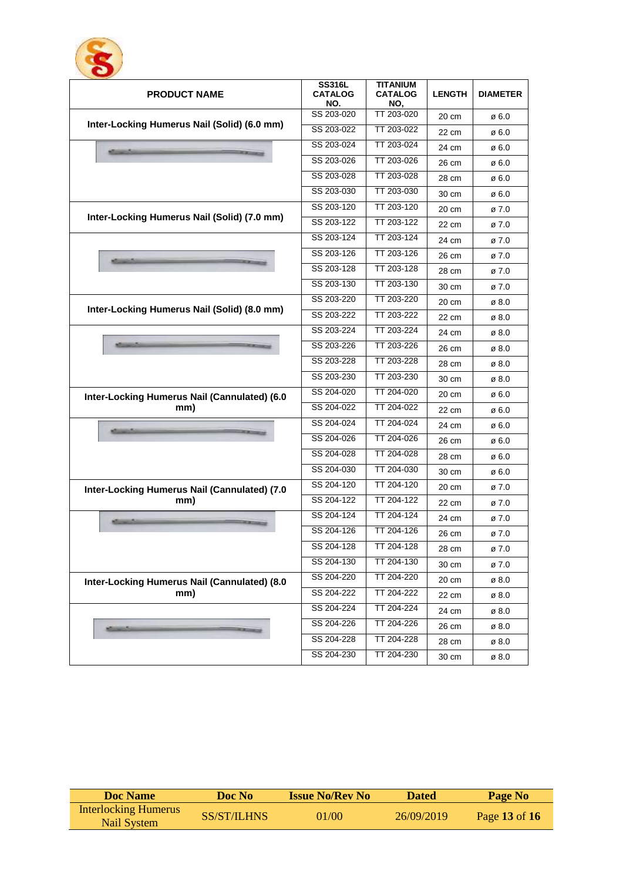

| <b>PRODUCT NAME</b>                          | <b>SS316L</b><br><b>CATALOG</b><br>NO. | TITANIUM<br><b>CATALOG</b><br>NO, | <b>LENGTH</b>   | <b>DIAMETER</b> |
|----------------------------------------------|----------------------------------------|-----------------------------------|-----------------|-----------------|
|                                              | SS 203-020                             | TT 203-020                        | 20 cm           | ø 6.0           |
| Inter-Locking Humerus Nail (Solid) (6.0 mm)  | SS 203-022                             | $\overline{\text{TT}}$ 203-022    | 22 cm           | ø 6.0           |
|                                              | SS 203-024                             | TT 203-024                        | 24 cm           | ø 6.0           |
|                                              | SS 203-026                             | TT 203-026                        | 26 cm           | ø 6.0           |
|                                              | SS 203-028                             | TT 203-028                        | 28 cm           | ø 6.0           |
|                                              | SS 203-030                             | TT 203-030                        | 30 cm           | ø 6.0           |
|                                              | SS 203-120                             | TT 203-120                        | 20 cm           | ø 7.0           |
| Inter-Locking Humerus Nail (Solid) (7.0 mm)  | SS 203-122                             | TT 203-122                        | 22 cm           | ø 7.0           |
|                                              | SS 203-124                             | TT 203-124                        | 24 cm           | ø 7.0           |
|                                              | SS 203-126                             | TT 203-126                        | 26 cm           | ø 7.0           |
|                                              | SS 203-128                             | TT 203-128                        | 28 cm           | ø 7.0           |
|                                              | SS 203-130                             | TT 203-130                        | 30 cm           | ø 7.0           |
|                                              | SS 203-220                             | TT 203-220                        | 20 cm           | ø 8.0           |
| Inter-Locking Humerus Nail (Solid) (8.0 mm)  | SS 203-222                             | TT 203-222                        | 22 cm           | ø 8.0           |
|                                              | SS 203-224                             | TT 203-224                        | 24 cm           | ø 8.0           |
|                                              | SS 203-226                             | TT 203-226                        | 26 cm           | ø 8.0           |
|                                              | SS 203-228                             | TT 203-228                        | 28 cm           | ø 8.0           |
|                                              | SS 203-230                             | TT 203-230                        | 30 cm           | ø 8.0           |
| Inter-Locking Humerus Nail (Cannulated) (6.0 | SS 204-020                             | TT 204-020                        | 20 cm           | ø 6.0           |
| mm)                                          | SS 204-022                             | TT 204-022                        | 22 cm           | ø 6.0           |
|                                              | SS 204-024                             | TT 204-024                        | 24 cm           | ø 6.0           |
|                                              | SS 204-026                             | TT 204-026                        | 26 cm           | ø 6.0           |
|                                              | SS 204-028                             | TT 204-028                        | 28 cm           | ø 6.0           |
|                                              | SS 204-030                             | TT 204-030                        | 30 cm           | ø 6.0           |
| Inter-Locking Humerus Nail (Cannulated) (7.0 | SS 204-120                             | TT 204-120                        | $20 \text{ cm}$ | ø 7.0           |
| mm)                                          | SS 204-122                             | TT 204-122                        | 22 cm           | ø 7.0           |
|                                              | SS 204-124                             | TT 204-124                        | 24 cm           | ø 7.0           |
|                                              | SS 204-126                             | $T$ $T$ 204-126                   | 26 cm           | ø 7.0           |
|                                              | SS 204-128                             | TT 204-128                        | 28 cm           | Ø I.U           |
|                                              | SS 204-130                             | TT 204-130                        | 30 cm           | ø 7.0           |
| Inter-Locking Humerus Nail (Cannulated) (8.0 | SS 204-220                             | TT 204-220                        | 20 cm           | ø 8.0           |
| mm)                                          | SS 204-222                             | TT 204-222                        | 22 cm           | ø 8.0           |
|                                              | SS 204-224                             | TT 204-224                        | 24 cm           | ø 8.0           |
|                                              | SS 204-226                             | TT 204-226                        | 26 cm           | ø 8.0           |
|                                              | SS 204-228                             | TT 204-228                        | 28 cm           | ø 8.0           |
|                                              | SS 204-230                             | TT 204-230                        | 30 cm           | ø 8.0           |

| <b>Doc</b> Name                            | Doc No             | <b>Issue No/Rev No</b> | <b>Dated</b> | Page No       |
|--------------------------------------------|--------------------|------------------------|--------------|---------------|
| <b>Interlocking Humerus</b><br>Nail System | <b>SS/ST/ILHNS</b> | 01/00                  | 26/09/2019   | Page 13 of 16 |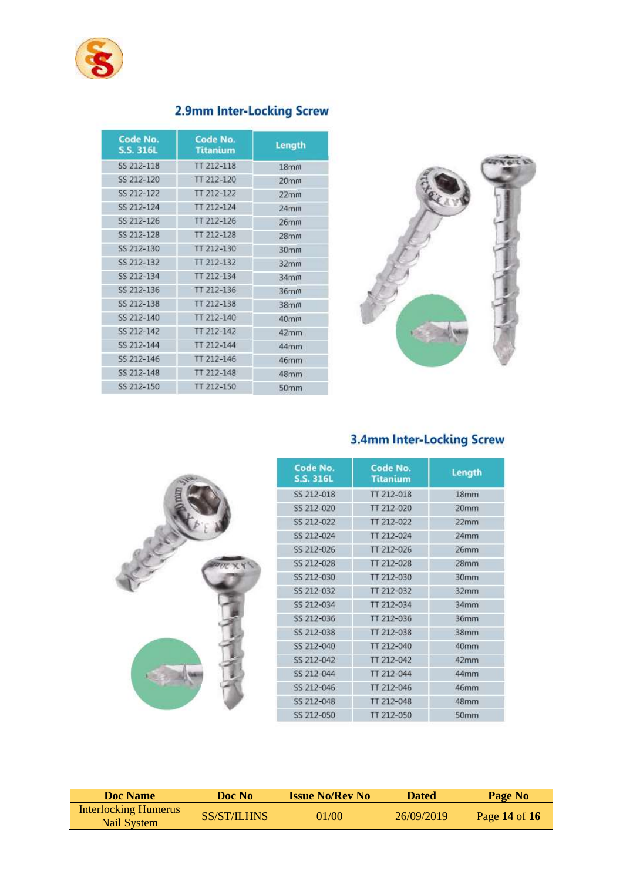

| Code No.<br><b>S.S. 316L</b> | Code No.<br><b>Titanium</b> | Length           |
|------------------------------|-----------------------------|------------------|
| <b>SS 212-118</b>            | TT 212-118                  | 18 <sub>mm</sub> |
| SS 212-120                   | TT 212-120                  | 20 <sub>mm</sub> |
| SS 212-122                   | TT 212-122                  | 22mm             |
| SS 212-124                   | TT 212-124                  | 24mm             |
| SS 212-126                   | TT 212-126                  | 26 <sub>mm</sub> |
| SS 212-128                   | TT 212-128                  | 28 <sub>mm</sub> |
| SS 212-130                   | TT 212-130                  | 30 <sub>mm</sub> |
| SS 212-132                   | TT 212-132                  | 32mm             |
| SS 212-134                   | TT 212-134                  | 34 <sub>mm</sub> |
| SS 212-136                   | TT 212-136                  | 36mm             |
| SS 212-138                   | TT 212-138                  | 38 <sub>mm</sub> |
| SS 212-140                   | TT 212-140                  | 40 <sub>mm</sub> |
| SS 212-142                   | TT 212-142                  | 42mm             |
| SS 212-144                   | TT 212-144                  | 44mm             |
| SS 212-146                   | TT 212-146                  | 46mm             |
| SS 212-148                   | TT 212-148                  | 48mm             |
| SS 212-150                   | TT 212-150                  | 50mm             |

## 2.9mm Inter-Locking Screw



## 3.4mm Inter-Locking Screw



| Code No.<br><b>S.S. 316L</b> | Code No.<br><b>Titanium</b> | Length           |  |
|------------------------------|-----------------------------|------------------|--|
| SS 212-018                   | TT 212-018                  | 18 <sub>mm</sub> |  |
| SS 212-020                   | TT 212-020                  | 20mm             |  |
| SS 212-022                   | TT 212-022                  | 22mm             |  |
| SS 212-024                   | TT 212-024                  | 24mm             |  |
| SS 212-026                   | TT 212-026                  | 26mm             |  |
| SS 212-028                   | TT 212-028                  | 28 <sub>mm</sub> |  |
| SS 212-030                   | TT 212-030                  | 30mm             |  |
| SS 212-032                   | TT 212-032                  | 32mm             |  |
| SS 212-034                   | TT 212-034                  | 34mm             |  |
| SS 212-036                   | TT 212-036                  | 36mm             |  |
| SS 212-038                   | TT 212-038                  | 38mm             |  |
| SS 212-040                   | TT 212-040                  | 40mm             |  |
| SS 212-042                   | TT 212-042                  | 42mm             |  |
| SS 212-044                   | TT 212-044                  | 44mm             |  |
| SS 212-046                   | TT 212-046                  | 46mm             |  |
| SS 212-048                   | TT 212-048                  | 48mm             |  |
| SS 212-050                   | TT 212-050                  | 50mm             |  |

| <b>Doc</b> Name                            | Doc No      | <b>Issue No/Rev No</b> | <b>Dated</b> | Page No       |
|--------------------------------------------|-------------|------------------------|--------------|---------------|
| <b>Interlocking Humerus</b><br>Nail System | SS/ST/ILHNS | 01/00                  | 26/09/2019   | Page 14 of 16 |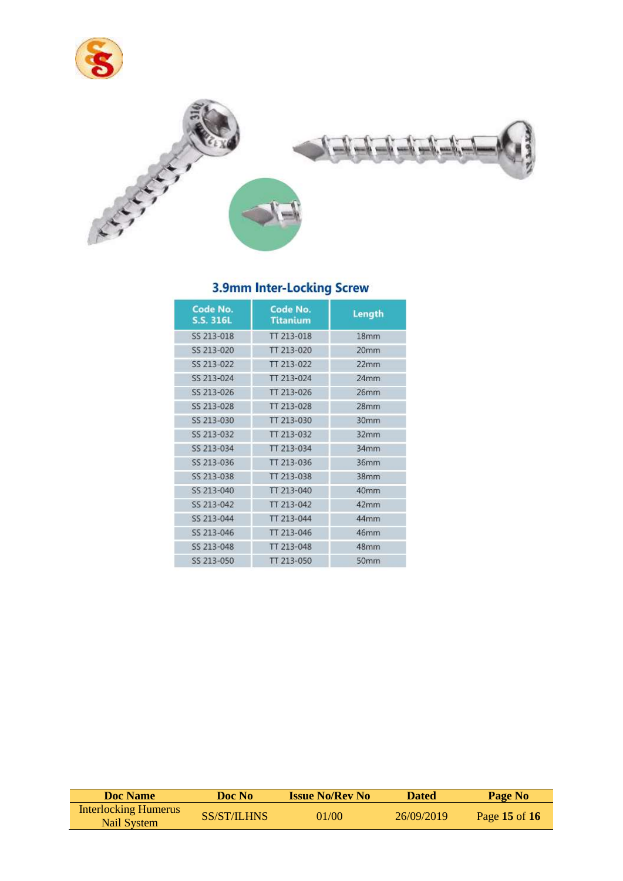



## 3.9mm Inter-Locking Screw

| Code No.<br><b>S.S. 316L</b> | Code No.<br><b>Titanium</b> | Length           |
|------------------------------|-----------------------------|------------------|
| SS 213-018                   | TT 213-018                  | 18 <sub>mm</sub> |
| SS 213-020                   | TT 213-020                  | 20 <sub>mm</sub> |
| SS 213-022                   | TT 213-022                  | 22mm             |
| SS 213-024                   | TT 213-024                  | 24 <sub>mm</sub> |
| SS 213-026                   | TT 213-026                  | 26mm             |
| SS 213-028                   | TT 213-028                  | 28mm             |
| SS 213-030                   | TT 213-030                  | 30mm             |
| SS 213-032                   | TT 213-032                  | 32mm             |
| SS 213-034                   | TT 213-034                  | 34mm             |
| SS 213-036                   | TT 213-036                  | 36mm             |
| SS 213-038                   | TT 213-038                  | 38mm             |
| SS 213-040                   | TT 213-040                  | 40mm             |
| SS 213-042                   | TT 213-042                  | 42mm             |
| SS 213-044                   | TT 213-044                  | 44mm             |
| SS 213-046                   | TT 213-046                  | 46mm             |
| SS 213-048                   | TT 213-048                  | 48mm             |
| SS 213-050                   | TT 213-050                  | 50mm             |

| Doc Name                                   | Doc No      | <b>Issue No/Rev No</b> | <b>Dated</b> | Page No       |
|--------------------------------------------|-------------|------------------------|--------------|---------------|
| <b>Interlocking Humerus</b><br>Nail System | SS/ST/ILHNS | 01/00                  | 26/09/2019   | Page 15 of 16 |